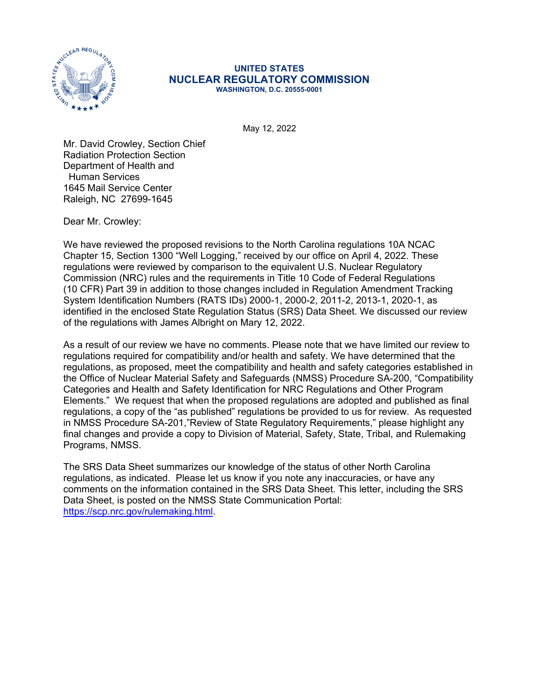

## **UNITED STATES NUCLEAR REGULATORY COMMISSION WASHINGTON, D.C. 20555-0001**

May 12, 2022

Mr. David Crowley, Section Chief Radiation Protection Section Department of Health and Human Services 1645 Mail Service Center Raleigh, NC 27699-1645

Dear Mr. Crowley:

We have reviewed the proposed revisions to the North Carolina regulations 10A NCAC Chapter 15, Section 1300 "Well Logging," received by our office on April 4, 2022. These regulations were reviewed by comparison to the equivalent U.S. Nuclear Regulatory Commission (NRC) rules and the requirements in Title 10 Code of Federal Regulations (10 CFR) Part 39 in addition to those changes included in Regulation Amendment Tracking System Identification Numbers (RATS IDs) 2000-1, 2000-2, 2011-2, 2013-1, 2020-1, as identified in the enclosed State Regulation Status (SRS) Data Sheet. We discussed our review of the regulations with James Albright on Mary 12, 2022.

As a result of our review we have no comments. Please note that we have limited our review to regulations required for compatibility and/or health and safety. We have determined that the regulations, as proposed, meet the compatibility and health and safety categories established in the Office of Nuclear Material Safety and Safeguards (NMSS) Procedure SA-200, "Compatibility Categories and Health and Safety Identification for NRC Regulations and Other Program Elements." We request that when the proposed regulations are adopted and published as final regulations, a copy of the "as published" regulations be provided to us for review. As requested in NMSS Procedure SA-201,"Review of State Regulatory Requirements," please highlight any final changes and provide a copy to Division of Material, Safety, State, Tribal, and Rulemaking Programs, NMSS.

The SRS Data Sheet summarizes our knowledge of the status of other North Carolina regulations, as indicated. Please let us know if you note any inaccuracies, or have any comments on the information contained in the SRS Data Sheet. This letter, including the SRS Data Sheet, is posted on the NMSS State Communication Portal: [https://scp.nrc.gov/rulemaking.html.](https://scp.nrc.gov/rulemaking.html)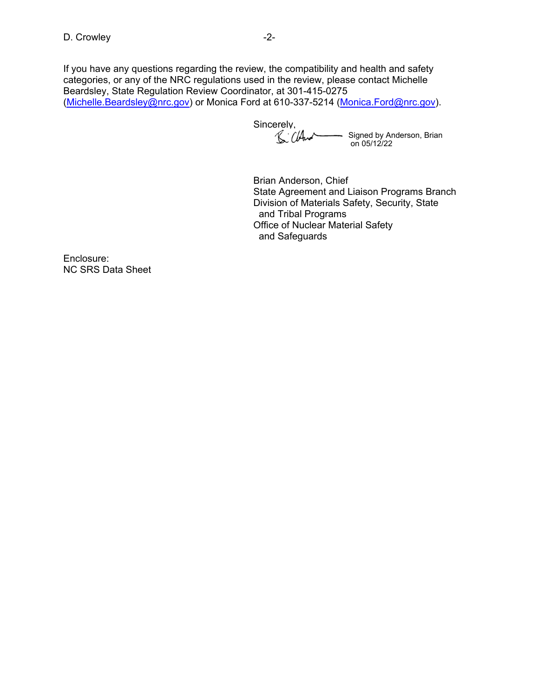If you have any questions regarding the review, the compatibility and health and safety categories, or any of the NRC regulations used in the review, please contact Michelle Beardsley, State Regulation Review Coordinator, at 301-415-0275 ([Michelle.Beardsley@nrc.gov](mailto:Michelle.Beardsley@nrc.gov)) or Monica Ford at 610-337-5214 [\(Monica.Ford@nrc.gov\)](mailto:Monica.Ford@nrc.gov).

Sincerely, Signed by Anderson, Brian on 05/12/22

Brian Anderson, Chief State Agreement and Liaison Programs Branch Division of Materials Safety, Security, State and Tribal Programs Office of Nuclear Material Safety and Safeguards

Enclosure: NC SRS Data Sheet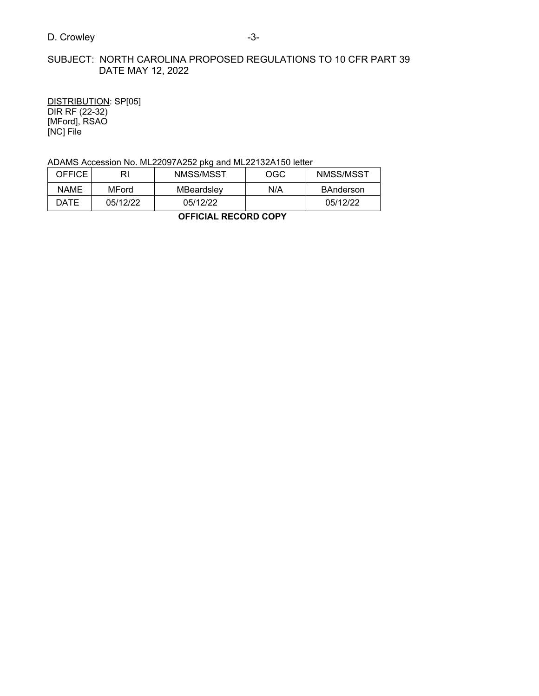## SUBJECT: NORTH CAROLINA PROPOSED REGULATIONS TO 10 CFR PART 39 DATE MAY 12, 2022

DISTRIBUTION: SP[05] DIR RF (22-32) [MFord], RSAO [NC] File

ADAMS Accession No. ML22097A252 pkg and ML22132A150 letter

| OFFICE I    | RI       | NMSS/MSST  | OGC | NMSS/MSST        |
|-------------|----------|------------|-----|------------------|
| <b>NAME</b> | MFord    | MBeardslev | N/A | <b>BAnderson</b> |
| DATE        | 05/12/22 | 05/12/22   |     | 05/12/22         |

**OFFICIAL RECORD COPY**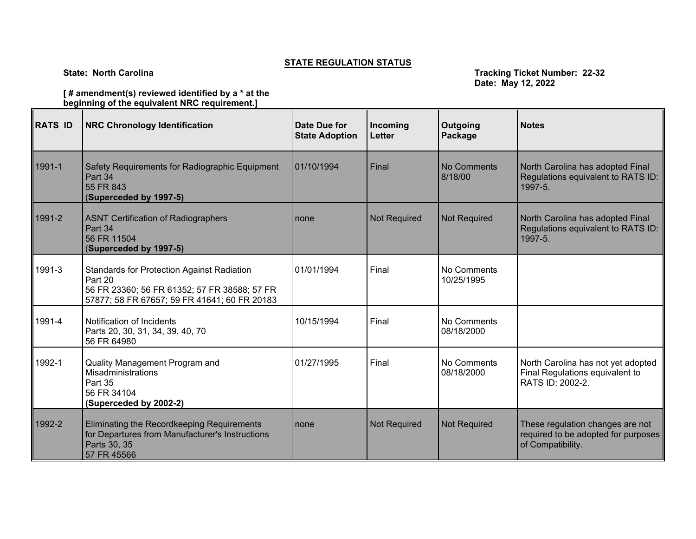## **STATE REGULATION STATUS**

**State: North Carolina Tracking Ticket Number: 22-32 Date: May 12, 2022**

**[ # amendment(s) reviewed identified by a \* at the beginning of the equivalent NRC requirement.]**

| RATS ID | <b>NRC Chronology Identification</b>                                                                                                                         | Date Due for<br><b>State Adoption</b> | Incoming<br><b>Letter</b> | Outgoing<br>Package       | <b>Notes</b>                                                                                 |
|---------|--------------------------------------------------------------------------------------------------------------------------------------------------------------|---------------------------------------|---------------------------|---------------------------|----------------------------------------------------------------------------------------------|
| 1991-1  | Safety Requirements for Radiographic Equipment<br>Part 34<br>55 FR 843<br>(Superceded by 1997-5)                                                             | 01/10/1994                            | Final                     | No Comments<br>8/18/00    | North Carolina has adopted Final<br>Regulations equivalent to RATS ID:<br>1997-5.            |
| 1991-2  | <b>ASNT Certification of Radiographers</b><br>Part 34<br>56 FR 11504<br>(Superceded by 1997-5)                                                               | none                                  | <b>Not Required</b>       | <b>Not Required</b>       | North Carolina has adopted Final<br>Regulations equivalent to RATS ID:<br>1997-5.            |
| 1991-3  | <b>Standards for Protection Against Radiation</b><br>Part 20<br>56 FR 23360; 56 FR 61352; 57 FR 38588; 57 FR<br>57877; 58 FR 67657; 59 FR 41641; 60 FR 20183 | 01/01/1994                            | Final                     | No Comments<br>10/25/1995 |                                                                                              |
| 1991-4  | Notification of Incidents<br>Parts 20, 30, 31, 34, 39, 40, 70<br>56 FR 64980                                                                                 | 10/15/1994                            | Final                     | No Comments<br>08/18/2000 |                                                                                              |
| 1992-1  | Quality Management Program and<br>Misadministrations<br>Part 35<br>56 FR 34104<br>(Superceded by 2002-2)                                                     | 01/27/1995                            | Final                     | No Comments<br>08/18/2000 | North Carolina has not yet adopted<br>Final Regulations equivalent to<br>RATS ID: 2002-2.    |
| 1992-2  | Eliminating the Recordkeeping Requirements<br>for Departures from Manufacturer's Instructions<br>Parts 30, 35<br>57 FR 45566                                 | none                                  | Not Required              | <b>Not Required</b>       | These regulation changes are not<br>required to be adopted for purposes<br>of Compatibility. |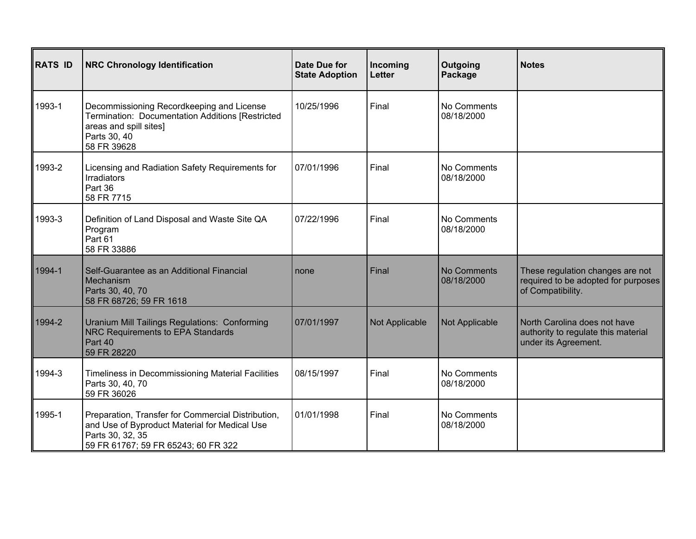| <b>RATS ID</b> | <b>NRC Chronology Identification</b>                                                                                                                           | Date Due for<br><b>State Adoption</b> | Incoming<br>Letter | Outgoing<br>Package              | <b>Notes</b>                                                                                 |
|----------------|----------------------------------------------------------------------------------------------------------------------------------------------------------------|---------------------------------------|--------------------|----------------------------------|----------------------------------------------------------------------------------------------|
| 1993-1         | Decommissioning Recordkeeping and License<br>Termination: Documentation Additions [Restricted<br>areas and spill sites]<br>Parts 30, 40<br>58 FR 39628         | 10/25/1996                            | Final              | No Comments<br>08/18/2000        |                                                                                              |
| 1993-2         | Licensing and Radiation Safety Requirements for<br>Irradiators<br>Part 36<br>58 FR 7715                                                                        | 07/01/1996                            | Final              | No Comments<br>08/18/2000        |                                                                                              |
| 1993-3         | Definition of Land Disposal and Waste Site QA<br>Program<br>Part 61<br>58 FR 33886                                                                             | 07/22/1996                            | Final              | No Comments<br>08/18/2000        |                                                                                              |
| 1994-1         | Self-Guarantee as an Additional Financial<br>Mechanism<br>Parts 30, 40, 70<br>58 FR 68726; 59 FR 1618                                                          | none                                  | Final              | <b>No Comments</b><br>08/18/2000 | These regulation changes are not<br>required to be adopted for purposes<br>of Compatibility. |
| 1994-2         | Uranium Mill Tailings Regulations: Conforming<br><b>NRC Requirements to EPA Standards</b><br>Part 40<br>59 FR 28220                                            | 07/01/1997                            | Not Applicable     | Not Applicable                   | North Carolina does not have<br>authority to regulate this material<br>under its Agreement.  |
| 1994-3         | Timeliness in Decommissioning Material Facilities<br>Parts 30, 40, 70<br>59 FR 36026                                                                           | 08/15/1997                            | Final              | No Comments<br>08/18/2000        |                                                                                              |
| 1995-1         | Preparation, Transfer for Commercial Distribution,<br>and Use of Byproduct Material for Medical Use<br>Parts 30, 32, 35<br>59 FR 61767; 59 FR 65243; 60 FR 322 | 01/01/1998                            | Final              | No Comments<br>08/18/2000        |                                                                                              |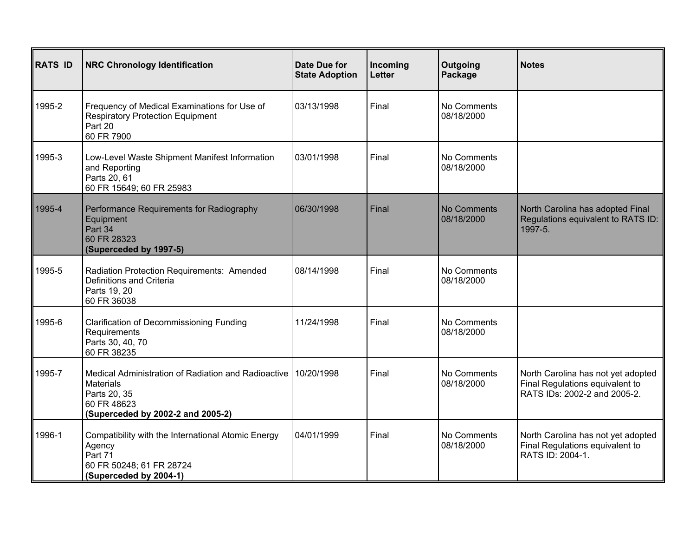| <b>RATS ID</b> | <b>NRC Chronology Identification</b>                                                                                                        | <b>Date Due for</b><br><b>State Adoption</b> | Incoming<br><b>Letter</b> | Outgoing<br>Package              | <b>Notes</b>                                                                                          |
|----------------|---------------------------------------------------------------------------------------------------------------------------------------------|----------------------------------------------|---------------------------|----------------------------------|-------------------------------------------------------------------------------------------------------|
| 1995-2         | Frequency of Medical Examinations for Use of<br><b>Respiratory Protection Equipment</b><br>Part 20<br>60 FR 7900                            | 03/13/1998                                   | Final                     | No Comments<br>08/18/2000        |                                                                                                       |
| 1995-3         | Low-Level Waste Shipment Manifest Information<br>and Reporting<br>Parts 20, 61<br>60 FR 15649; 60 FR 25983                                  | 03/01/1998                                   | Final                     | No Comments<br>08/18/2000        |                                                                                                       |
| 1995-4         | Performance Requirements for Radiography<br>Equipment<br>Part 34<br>60 FR 28323<br>(Superceded by 1997-5)                                   | 06/30/1998                                   | Final                     | <b>No Comments</b><br>08/18/2000 | North Carolina has adopted Final<br>Regulations equivalent to RATS ID:<br>1997-5.                     |
| 1995-5         | Radiation Protection Requirements: Amended<br>Definitions and Criteria<br>Parts 19, 20<br>60 FR 36038                                       | 08/14/1998                                   | Final                     | No Comments<br>08/18/2000        |                                                                                                       |
| 1995-6         | <b>Clarification of Decommissioning Funding</b><br>Requirements<br>Parts 30, 40, 70<br>60 FR 38235                                          | 11/24/1998                                   | Final                     | No Comments<br>08/18/2000        |                                                                                                       |
| 1995-7         | Medical Administration of Radiation and Radioactive<br><b>Materials</b><br>Parts 20, 35<br>60 FR 48623<br>(Superceded by 2002-2 and 2005-2) | 10/20/1998                                   | Final                     | No Comments<br>08/18/2000        | North Carolina has not yet adopted<br>Final Regulations equivalent to<br>RATS IDs: 2002-2 and 2005-2. |
| 1996-1         | Compatibility with the International Atomic Energy<br>Agency<br>Part 71<br>60 FR 50248; 61 FR 28724<br>(Superceded by 2004-1)               | 04/01/1999                                   | Final                     | No Comments<br>08/18/2000        | North Carolina has not yet adopted<br>Final Regulations equivalent to<br>RATS ID: 2004-1.             |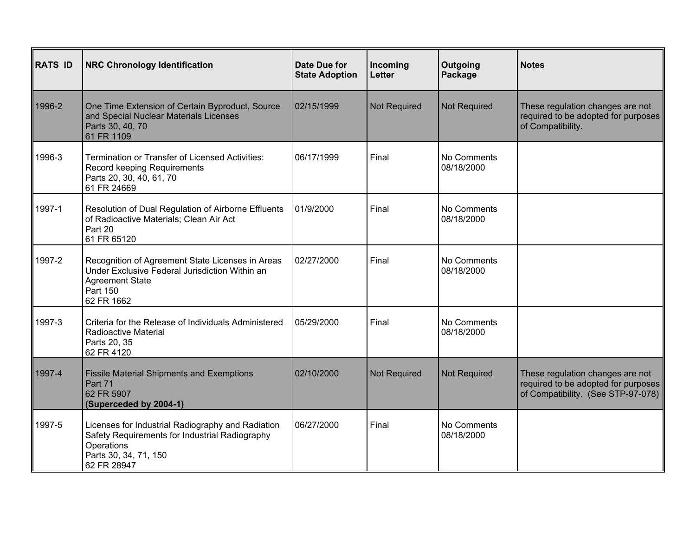| RATS ID | <b>NRC Chronology Identification</b>                                                                                                                      | Date Due for<br><b>State Adoption</b> | Incoming<br>Letter  | Outgoing<br>Package       | <b>Notes</b>                                                                                                  |
|---------|-----------------------------------------------------------------------------------------------------------------------------------------------------------|---------------------------------------|---------------------|---------------------------|---------------------------------------------------------------------------------------------------------------|
| 1996-2  | One Time Extension of Certain Byproduct, Source<br>and Special Nuclear Materials Licenses<br>Parts 30, 40, 70<br>61 FR 1109                               | 02/15/1999                            | <b>Not Required</b> | <b>Not Required</b>       | These regulation changes are not<br>required to be adopted for purposes<br>of Compatibility.                  |
| 1996-3  | Termination or Transfer of Licensed Activities:<br>Record keeping Requirements<br>Parts 20, 30, 40, 61, 70<br>61 FR 24669                                 | 06/17/1999                            | Final               | No Comments<br>08/18/2000 |                                                                                                               |
| 1997-1  | Resolution of Dual Regulation of Airborne Effluents<br>of Radioactive Materials; Clean Air Act<br>Part 20<br>61 FR 65120                                  | 01/9/2000                             | Final               | No Comments<br>08/18/2000 |                                                                                                               |
| 1997-2  | Recognition of Agreement State Licenses in Areas<br>Under Exclusive Federal Jurisdiction Within an<br><b>Agreement State</b><br>Part 150<br>62 FR 1662    | 02/27/2000                            | Final               | No Comments<br>08/18/2000 |                                                                                                               |
| 1997-3  | Criteria for the Release of Individuals Administered<br><b>Radioactive Material</b><br>Parts 20, 35<br>62 FR 4120                                         | 05/29/2000                            | Final               | No Comments<br>08/18/2000 |                                                                                                               |
| 1997-4  | <b>Fissile Material Shipments and Exemptions</b><br>Part 71<br>62 FR 5907<br>(Superceded by 2004-1)                                                       | 02/10/2000                            | <b>Not Required</b> | <b>Not Required</b>       | These regulation changes are not<br>required to be adopted for purposes<br>of Compatibility. (See STP-97-078) |
| 1997-5  | Licenses for Industrial Radiography and Radiation<br>Safety Requirements for Industrial Radiography<br>Operations<br>Parts 30, 34, 71, 150<br>62 FR 28947 | 06/27/2000                            | Final               | No Comments<br>08/18/2000 |                                                                                                               |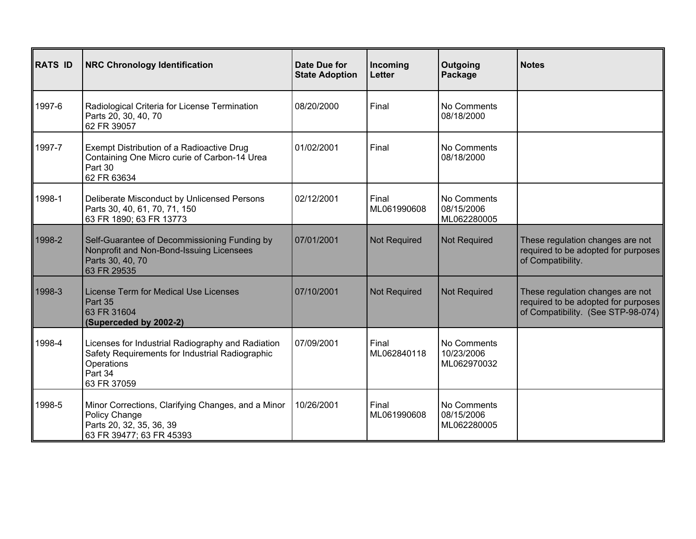| <b>RATS ID</b> | <b>NRC Chronology Identification</b>                                                                                                         | Date Due for<br><b>State Adoption</b> | Incoming<br><b>Letter</b> | Outgoing<br>Package                      | <b>Notes</b>                                                                                                  |
|----------------|----------------------------------------------------------------------------------------------------------------------------------------------|---------------------------------------|---------------------------|------------------------------------------|---------------------------------------------------------------------------------------------------------------|
| 1997-6         | Radiological Criteria for License Termination<br>Parts 20, 30, 40, 70<br>62 FR 39057                                                         | 08/20/2000                            | Final                     | No Comments<br>08/18/2000                |                                                                                                               |
| 1997-7         | Exempt Distribution of a Radioactive Drug<br>Containing One Micro curie of Carbon-14 Urea<br>Part 30<br>62 FR 63634                          | 01/02/2001                            | Final                     | No Comments<br>08/18/2000                |                                                                                                               |
| 1998-1         | Deliberate Misconduct by Unlicensed Persons<br>Parts 30, 40, 61, 70, 71, 150<br>63 FR 1890; 63 FR 13773                                      | 02/12/2001                            | Final<br>ML061990608      | No Comments<br>08/15/2006<br>ML062280005 |                                                                                                               |
| 1998-2         | Self-Guarantee of Decommissioning Funding by<br>Nonprofit and Non-Bond-Issuing Licensees<br>Parts 30, 40, 70<br>63 FR 29535                  | 07/01/2001                            | <b>Not Required</b>       | <b>Not Required</b>                      | These regulation changes are not<br>required to be adopted for purposes<br>of Compatibility.                  |
| 1998-3         | License Term for Medical Use Licenses<br>Part 35<br>63 FR 31604<br>(Superceded by 2002-2)                                                    | 07/10/2001                            | <b>Not Required</b>       | <b>Not Required</b>                      | These regulation changes are not<br>required to be adopted for purposes<br>of Compatibility. (See STP-98-074) |
| 1998-4         | Licenses for Industrial Radiography and Radiation<br>Safety Requirements for Industrial Radiographic<br>Operations<br>Part 34<br>63 FR 37059 | 07/09/2001                            | Final<br>ML062840118      | No Comments<br>10/23/2006<br>ML062970032 |                                                                                                               |
| 1998-5         | Minor Corrections, Clarifying Changes, and a Minor<br>Policy Change<br>Parts 20, 32, 35, 36, 39<br>63 FR 39477; 63 FR 45393                  | 10/26/2001                            | Final<br>ML061990608      | No Comments<br>08/15/2006<br>ML062280005 |                                                                                                               |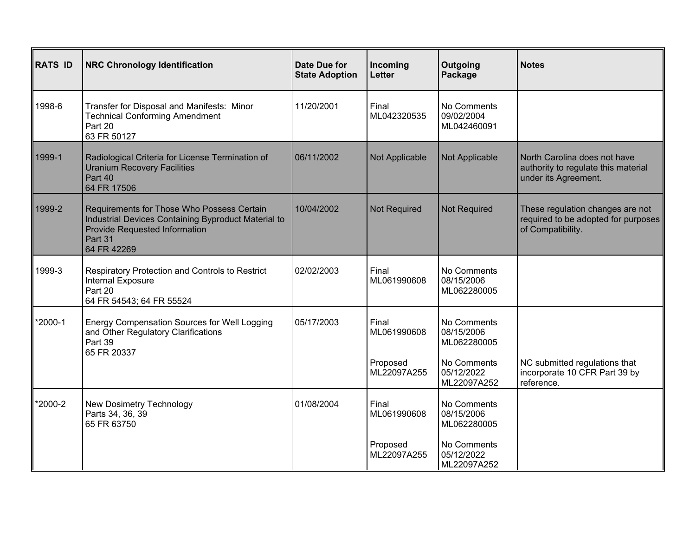| <b>RATS ID</b> | <b>NRC Chronology Identification</b>                                                                                                                         | <b>Date Due for</b><br><b>State Adoption</b> | Incoming<br><b>Letter</b>                       | Outgoing<br>Package                                                                  | <b>Notes</b>                                                                                 |
|----------------|--------------------------------------------------------------------------------------------------------------------------------------------------------------|----------------------------------------------|-------------------------------------------------|--------------------------------------------------------------------------------------|----------------------------------------------------------------------------------------------|
| 1998-6         | Transfer for Disposal and Manifests: Minor<br><b>Technical Conforming Amendment</b><br>Part 20<br>63 FR 50127                                                | 11/20/2001                                   | Final<br>ML042320535                            | No Comments<br>09/02/2004<br>ML042460091                                             |                                                                                              |
| 1999-1         | Radiological Criteria for License Termination of<br><b>Uranium Recovery Facilities</b><br>Part 40<br>64 FR 17506                                             | 06/11/2002                                   | Not Applicable                                  | Not Applicable                                                                       | North Carolina does not have<br>authority to regulate this material<br>under its Agreement.  |
| 1999-2         | Requirements for Those Who Possess Certain<br>Industrial Devices Containing Byproduct Material to<br>Provide Requested Information<br>Part 31<br>64 FR 42269 | 10/04/2002                                   | <b>Not Required</b>                             | <b>Not Required</b>                                                                  | These regulation changes are not<br>required to be adopted for purposes<br>of Compatibility. |
| 1999-3         | Respiratory Protection and Controls to Restrict<br>Internal Exposure<br>Part 20<br>64 FR 54543; 64 FR 55524                                                  | 02/02/2003                                   | Final<br>ML061990608                            | No Comments<br>08/15/2006<br>ML062280005                                             |                                                                                              |
| *2000-1        | <b>Energy Compensation Sources for Well Logging</b><br>and Other Regulatory Clarifications<br>Part 39<br>65 FR 20337                                         | 05/17/2003                                   | Final<br>ML061990608<br>Proposed<br>ML22097A255 | No Comments<br>08/15/2006<br>ML062280005<br>No Comments<br>05/12/2022<br>ML22097A252 | NC submitted regulations that<br>incorporate 10 CFR Part 39 by<br>reference.                 |
| *2000-2        | New Dosimetry Technology<br>Parts 34, 36, 39<br>65 FR 63750                                                                                                  | 01/08/2004                                   | Final<br>ML061990608<br>Proposed<br>ML22097A255 | No Comments<br>08/15/2006<br>ML062280005<br>No Comments<br>05/12/2022<br>ML22097A252 |                                                                                              |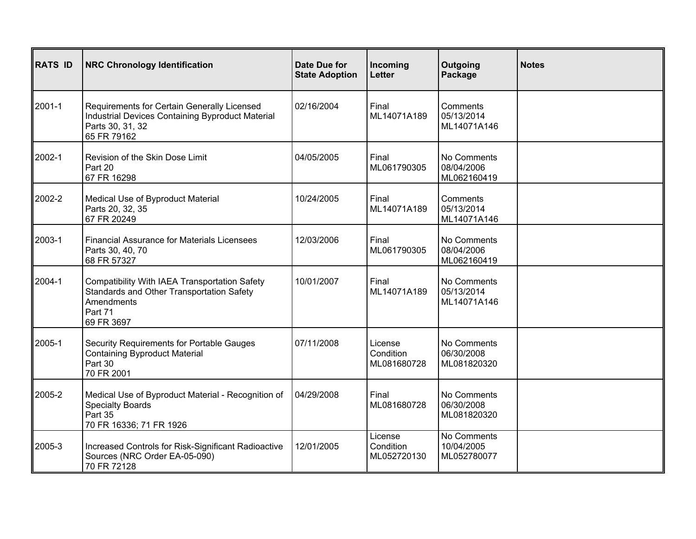| <b>RATS ID</b> | <b>NRC Chronology Identification</b>                                                                                               | Date Due for<br><b>State Adoption</b> | Incoming<br><b>Letter</b>           | Outgoing<br>Package                      | <b>Notes</b> |
|----------------|------------------------------------------------------------------------------------------------------------------------------------|---------------------------------------|-------------------------------------|------------------------------------------|--------------|
| 2001-1         | Requirements for Certain Generally Licensed<br>Industrial Devices Containing Byproduct Material<br>Parts 30, 31, 32<br>65 FR 79162 | 02/16/2004                            | Final<br>ML14071A189                | Comments<br>05/13/2014<br>ML14071A146    |              |
| 2002-1         | Revision of the Skin Dose Limit<br>Part 20<br>67 FR 16298                                                                          | 04/05/2005                            | Final<br>ML061790305                | No Comments<br>08/04/2006<br>ML062160419 |              |
| 2002-2         | Medical Use of Byproduct Material<br>Parts 20, 32, 35<br>67 FR 20249                                                               | 10/24/2005                            | Final<br>ML14071A189                | Comments<br>05/13/2014<br>ML14071A146    |              |
| 2003-1         | <b>Financial Assurance for Materials Licensees</b><br>Parts 30, 40, 70<br>68 FR 57327                                              | 12/03/2006                            | Final<br>ML061790305                | No Comments<br>08/04/2006<br>ML062160419 |              |
| 2004-1         | Compatibility With IAEA Transportation Safety<br>Standards and Other Transportation Safety<br>Amendments<br>Part 71<br>69 FR 3697  | 10/01/2007                            | Final<br>ML14071A189                | No Comments<br>05/13/2014<br>ML14071A146 |              |
| 2005-1         | Security Requirements for Portable Gauges<br><b>Containing Byproduct Material</b><br>Part 30<br>70 FR 2001                         | 07/11/2008                            | License<br>Condition<br>ML081680728 | No Comments<br>06/30/2008<br>ML081820320 |              |
| 2005-2         | Medical Use of Byproduct Material - Recognition of<br><b>Specialty Boards</b><br>Part 35<br>70 FR 16336; 71 FR 1926                | 04/29/2008                            | Final<br>ML081680728                | No Comments<br>06/30/2008<br>ML081820320 |              |
| 2005-3         | Increased Controls for Risk-Significant Radioactive<br>Sources (NRC Order EA-05-090)<br>70 FR 72128                                | 12/01/2005                            | License<br>Condition<br>ML052720130 | No Comments<br>10/04/2005<br>ML052780077 |              |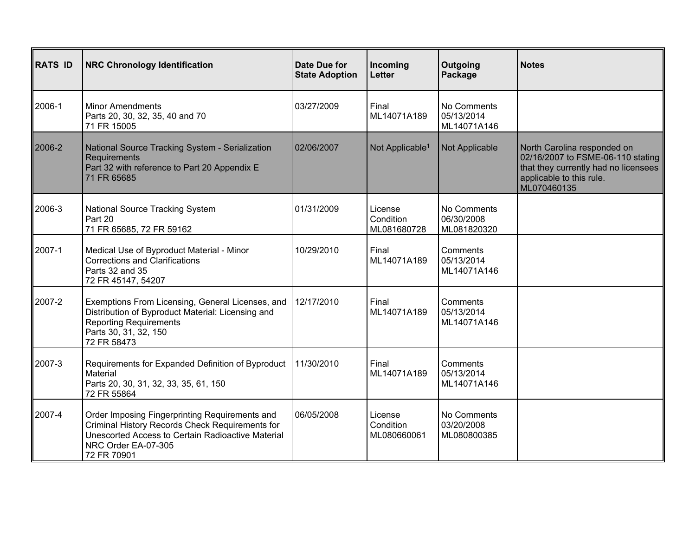| <b>RATS ID</b> | <b>NRC Chronology Identification</b>                                                                                                                                                         | Date Due for<br><b>State Adoption</b> | Incoming<br>Letter                  | Outgoing<br>Package                      | <b>Notes</b>                                                                                                                                        |
|----------------|----------------------------------------------------------------------------------------------------------------------------------------------------------------------------------------------|---------------------------------------|-------------------------------------|------------------------------------------|-----------------------------------------------------------------------------------------------------------------------------------------------------|
| 2006-1         | <b>Minor Amendments</b><br>Parts 20, 30, 32, 35, 40 and 70<br>71 FR 15005                                                                                                                    | 03/27/2009                            | Final<br>ML14071A189                | No Comments<br>05/13/2014<br>ML14071A146 |                                                                                                                                                     |
| 2006-2         | National Source Tracking System - Serialization<br>Requirements<br>Part 32 with reference to Part 20 Appendix E<br>71 FR 65685                                                               | 02/06/2007                            | Not Applicable <sup>1</sup>         | Not Applicable                           | North Carolina responded on<br>02/16/2007 to FSME-06-110 stating<br>that they currently had no licensees<br>applicable to this rule.<br>ML070460135 |
| 2006-3         | <b>National Source Tracking System</b><br>Part 20<br>71 FR 65685, 72 FR 59162                                                                                                                | 01/31/2009                            | License<br>Condition<br>ML081680728 | No Comments<br>06/30/2008<br>ML081820320 |                                                                                                                                                     |
| 2007-1         | Medical Use of Byproduct Material - Minor<br><b>Corrections and Clarifications</b><br>Parts 32 and 35<br>72 FR 45147, 54207                                                                  | 10/29/2010                            | Final<br>ML14071A189                | Comments<br>05/13/2014<br>ML14071A146    |                                                                                                                                                     |
| 2007-2         | Exemptions From Licensing, General Licenses, and<br>Distribution of Byproduct Material: Licensing and<br><b>Reporting Requirements</b><br>Parts 30, 31, 32, 150<br>72 FR 58473               | 12/17/2010                            | Final<br>ML14071A189                | Comments<br>05/13/2014<br>ML14071A146    |                                                                                                                                                     |
| 2007-3         | Requirements for Expanded Definition of Byproduct<br>Material<br>Parts 20, 30, 31, 32, 33, 35, 61, 150<br>72 FR 55864                                                                        | 11/30/2010                            | Final<br>ML14071A189                | Comments<br>05/13/2014<br>ML14071A146    |                                                                                                                                                     |
| 2007-4         | Order Imposing Fingerprinting Requirements and<br>Criminal History Records Check Requirements for<br>Unescorted Access to Certain Radioactive Material<br>NRC Order EA-07-305<br>72 FR 70901 | 06/05/2008                            | License<br>Condition<br>ML080660061 | No Comments<br>03/20/2008<br>ML080800385 |                                                                                                                                                     |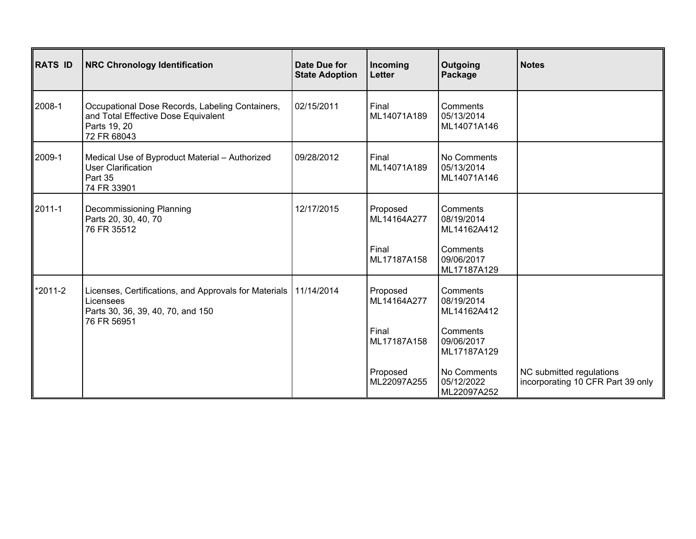| RATS ID | <b>NRC Chronology Identification</b>                                                                                                | Date Due for<br><b>State Adoption</b> | Incoming<br>Letter      | Outgoing<br>Package                      | <b>Notes</b>                                                  |
|---------|-------------------------------------------------------------------------------------------------------------------------------------|---------------------------------------|-------------------------|------------------------------------------|---------------------------------------------------------------|
| 2008-1  | Occupational Dose Records, Labeling Containers,<br>and Total Effective Dose Equivalent<br>Parts 19, 20<br>72 FR 68043               | 02/15/2011                            | Final<br>ML14071A189    | Comments<br>05/13/2014<br>ML14071A146    |                                                               |
| 2009-1  | Medical Use of Byproduct Material - Authorized<br><b>User Clarification</b><br>Part 35<br>74 FR 33901                               | 09/28/2012                            | Final<br>ML14071A189    | No Comments<br>05/13/2014<br>ML14071A146 |                                                               |
| 2011-1  | Decommissioning Planning<br>Parts 20, 30, 40, 70<br>76 FR 35512                                                                     | 12/17/2015                            | Proposed<br>ML14164A277 | Comments<br>08/19/2014<br>ML14162A412    |                                                               |
|         |                                                                                                                                     |                                       | Final<br>ML17187A158    | Comments<br>09/06/2017<br>ML17187A129    |                                                               |
| *2011-2 | Licenses, Certifications, and Approvals for Materials   11/14/2014<br>Licensees<br>Parts 30, 36, 39, 40, 70, and 150<br>76 FR 56951 |                                       | Proposed<br>ML14164A277 | Comments<br>08/19/2014<br>ML14162A412    |                                                               |
|         |                                                                                                                                     |                                       | Final<br>ML17187A158    | Comments<br>09/06/2017<br>ML17187A129    |                                                               |
|         |                                                                                                                                     |                                       | Proposed<br>ML22097A255 | No Comments<br>05/12/2022<br>ML22097A252 | NC submitted regulations<br>incorporating 10 CFR Part 39 only |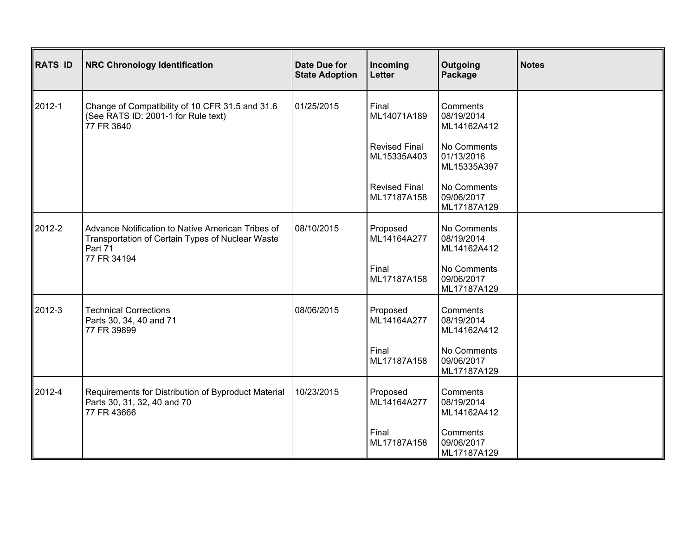| <b>RATS ID</b> | <b>NRC Chronology Identification</b>                                                                                            | Date Due for<br><b>State Adoption</b> | Incoming<br><b>Letter</b>           | Outgoing<br>Package                      | <b>Notes</b> |
|----------------|---------------------------------------------------------------------------------------------------------------------------------|---------------------------------------|-------------------------------------|------------------------------------------|--------------|
| 2012-1         | Change of Compatibility of 10 CFR 31.5 and 31.6<br>(See RATS ID: 2001-1 for Rule text)<br>77 FR 3640                            | 01/25/2015                            | Final<br>ML14071A189                | Comments<br>08/19/2014<br>ML14162A412    |              |
|                |                                                                                                                                 |                                       | <b>Revised Final</b><br>ML15335A403 | No Comments<br>01/13/2016<br>ML15335A397 |              |
|                |                                                                                                                                 |                                       | <b>Revised Final</b><br>ML17187A158 | No Comments<br>09/06/2017<br>ML17187A129 |              |
| 2012-2         | Advance Notification to Native American Tribes of<br>Transportation of Certain Types of Nuclear Waste<br>Part 71<br>77 FR 34194 | 08/10/2015                            | Proposed<br>ML14164A277             | No Comments<br>08/19/2014<br>ML14162A412 |              |
|                |                                                                                                                                 |                                       | Final<br>ML17187A158                | No Comments<br>09/06/2017<br>ML17187A129 |              |
| 2012-3         | <b>Technical Corrections</b><br>Parts 30, 34, 40 and 71<br>77 FR 39899                                                          | 08/06/2015                            | Proposed<br>ML14164A277             | Comments<br>08/19/2014<br>ML14162A412    |              |
|                |                                                                                                                                 |                                       | Final<br>ML17187A158                | No Comments<br>09/06/2017<br>ML17187A129 |              |
| 2012-4         | Requirements for Distribution of Byproduct Material<br>Parts 30, 31, 32, 40 and 70<br>77 FR 43666                               | 10/23/2015                            | Proposed<br>ML14164A277             | Comments<br>08/19/2014<br>ML14162A412    |              |
|                |                                                                                                                                 |                                       | Final<br>ML17187A158                | Comments<br>09/06/2017<br>ML17187A129    |              |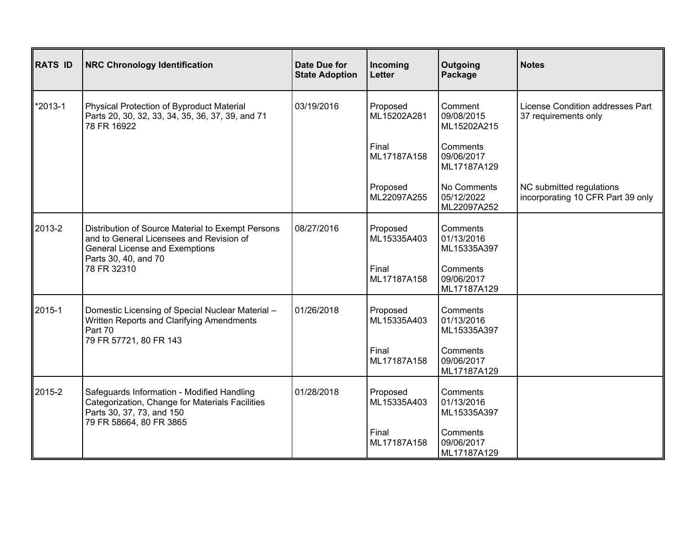| <b>RATS ID</b> | <b>NRC Chronology Identification</b>                                                                                                                           | <b>Date Due for</b><br><b>State Adoption</b> | Incoming<br><b>Letter</b> | Outgoing<br>Package                      | <b>Notes</b>                                                  |
|----------------|----------------------------------------------------------------------------------------------------------------------------------------------------------------|----------------------------------------------|---------------------------|------------------------------------------|---------------------------------------------------------------|
| $*2013 - 1$    | Physical Protection of Byproduct Material<br>Parts 20, 30, 32, 33, 34, 35, 36, 37, 39, and 71<br>78 FR 16922                                                   | 03/19/2016                                   | Proposed<br>ML15202A281   | Comment<br>09/08/2015<br>ML15202A215     | License Condition addresses Part<br>37 requirements only      |
|                |                                                                                                                                                                |                                              | Final<br>ML17187A158      | Comments<br>09/06/2017<br>ML17187A129    |                                                               |
|                |                                                                                                                                                                |                                              | Proposed<br>ML22097A255   | No Comments<br>05/12/2022<br>ML22097A252 | NC submitted regulations<br>incorporating 10 CFR Part 39 only |
| 2013-2         | Distribution of Source Material to Exempt Persons<br>and to General Licensees and Revision of<br><b>General License and Exemptions</b><br>Parts 30, 40, and 70 | 08/27/2016                                   | Proposed<br>ML15335A403   | Comments<br>01/13/2016<br>ML15335A397    |                                                               |
|                | 78 FR 32310                                                                                                                                                    |                                              | Final<br>ML17187A158      | Comments<br>09/06/2017<br>ML17187A129    |                                                               |
| 2015-1         | Domestic Licensing of Special Nuclear Material -<br>Written Reports and Clarifying Amendments<br>Part 70                                                       | 01/26/2018                                   | Proposed<br>ML15335A403   | Comments<br>01/13/2016<br>ML15335A397    |                                                               |
|                | 79 FR 57721, 80 FR 143                                                                                                                                         |                                              | Final<br>ML17187A158      | Comments<br>09/06/2017<br>ML17187A129    |                                                               |
| 2015-2         | Safeguards Information - Modified Handling<br>Categorization, Change for Materials Facilities<br>Parts 30, 37, 73, and 150<br>79 FR 58664, 80 FR 3865          | 01/28/2018                                   | Proposed<br>ML15335A403   | Comments<br>01/13/2016<br>ML15335A397    |                                                               |
|                |                                                                                                                                                                |                                              | Final<br>ML17187A158      | Comments<br>09/06/2017<br>ML17187A129    |                                                               |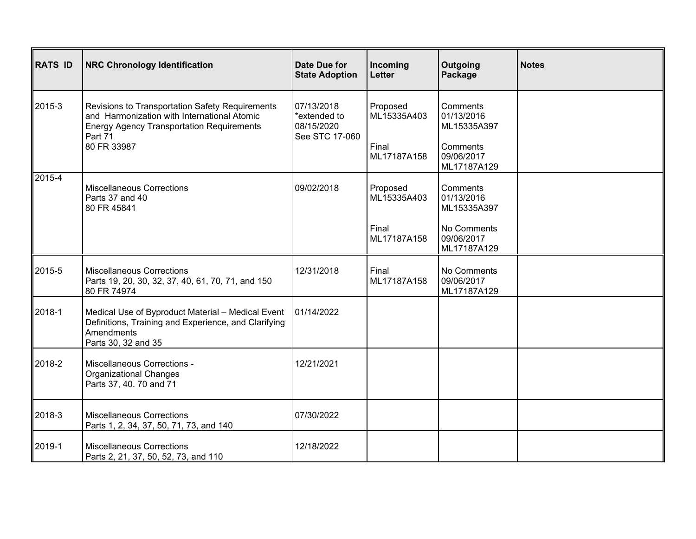| <b>RATS ID</b> | <b>NRC Chronology Identification</b>                                                                                                                                         | <b>Date Due for</b><br><b>State Adoption</b>               | Incoming<br>Letter      | Outgoing<br>Package                      | <b>Notes</b> |
|----------------|------------------------------------------------------------------------------------------------------------------------------------------------------------------------------|------------------------------------------------------------|-------------------------|------------------------------------------|--------------|
| 2015-3         | Revisions to Transportation Safety Requirements<br>and Harmonization with International Atomic<br><b>Energy Agency Transportation Requirements</b><br>Part 71<br>80 FR 33987 | 07/13/2018<br>*extended to<br>08/15/2020<br>See STC 17-060 | Proposed<br>ML15335A403 | Comments<br>01/13/2016<br>ML15335A397    |              |
|                |                                                                                                                                                                              |                                                            | Final<br>ML17187A158    | Comments<br>09/06/2017<br>ML17187A129    |              |
| $2015 - 4$     | <b>Miscellaneous Corrections</b><br>Parts 37 and 40<br>80 FR 45841                                                                                                           | 09/02/2018                                                 | Proposed<br>ML15335A403 | Comments<br>01/13/2016<br>ML15335A397    |              |
|                |                                                                                                                                                                              |                                                            | Final<br>ML17187A158    | No Comments<br>09/06/2017<br>ML17187A129 |              |
| 2015-5         | <b>Miscellaneous Corrections</b><br>Parts 19, 20, 30, 32, 37, 40, 61, 70, 71, and 150<br>80 FR 74974                                                                         | 12/31/2018                                                 | Final<br>ML17187A158    | No Comments<br>09/06/2017<br>ML17187A129 |              |
| 2018-1         | Medical Use of Byproduct Material - Medical Event<br>Definitions, Training and Experience, and Clarifying<br>Amendments<br>Parts 30, 32 and 35                               | 01/14/2022                                                 |                         |                                          |              |
| 2018-2         | Miscellaneous Corrections -<br><b>Organizational Changes</b><br>Parts 37, 40. 70 and 71                                                                                      | 12/21/2021                                                 |                         |                                          |              |
| 2018-3         | <b>Miscellaneous Corrections</b><br>Parts 1, 2, 34, 37, 50, 71, 73, and 140                                                                                                  | 07/30/2022                                                 |                         |                                          |              |
| 2019-1         | <b>Miscellaneous Corrections</b><br>Parts 2, 21, 37, 50, 52, 73, and 110                                                                                                     | 12/18/2022                                                 |                         |                                          |              |